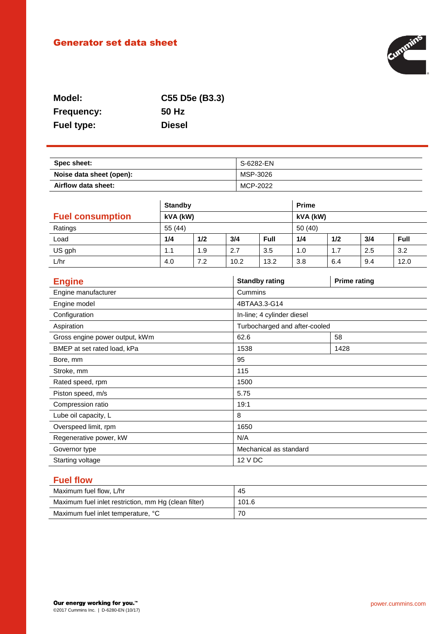# Generator set data sheet



| Model:            | C55 D5e (B3.3) |
|-------------------|----------------|
| <b>Frequency:</b> | 50 Hz          |
| <b>Fuel type:</b> | <b>Diesel</b>  |

| Spec sheet:              | S-6282-EN |
|--------------------------|-----------|
| Noise data sheet (open): | MSP-3026  |
| Airflow data sheet:      | MCP-2022  |

|                         | <b>Standby</b> |     |      | <b>Prime</b> |     |     |     |      |
|-------------------------|----------------|-----|------|--------------|-----|-----|-----|------|
| <b>Fuel consumption</b> | kVA (kW)       |     |      | kVA (kW)     |     |     |     |      |
| Ratings                 | 55(44)         |     |      | 50 (40)      |     |     |     |      |
| Load                    | 1/4            | 1/2 | 3/4  | <b>Full</b>  | 1/4 | 1/2 | 3/4 | Full |
| US gph                  | 1.1            | 1.9 | 2.7  | 3.5          | 1.0 | 1.7 | 2.5 | 3.2  |
| L/hr                    | 4.0            | 7.2 | 10.2 | 13.2         | 3.8 | 6.4 | 9.4 | 12.0 |

| <b>Engine</b>                  | <b>Standby rating</b>         | <b>Prime rating</b> |  |
|--------------------------------|-------------------------------|---------------------|--|
| Engine manufacturer            | Cummins                       |                     |  |
| Engine model                   | 4BTAA3.3-G14                  |                     |  |
| Configuration                  | In-line; 4 cylinder diesel    |                     |  |
| Aspiration                     | Turbocharged and after-cooled |                     |  |
| Gross engine power output, kWm | 62.6                          | 58                  |  |
| BMEP at set rated load, kPa    | 1538                          | 1428                |  |
| Bore, mm                       | 95                            |                     |  |
| Stroke, mm                     | 115                           |                     |  |
| Rated speed, rpm               | 1500                          |                     |  |
| Piston speed, m/s              | 5.75                          |                     |  |
| Compression ratio              | 19:1                          |                     |  |
| Lube oil capacity, L           | 8                             |                     |  |
| Overspeed limit, rpm           | 1650                          |                     |  |
| Regenerative power, kW         | N/A                           |                     |  |
| Governor type                  | Mechanical as standard        |                     |  |
| Starting voltage               | 12 V DC                       |                     |  |

## **Fuel flow**

| Maximum fuel flow, L/hr                              | 45    |
|------------------------------------------------------|-------|
| Maximum fuel inlet restriction, mm Hg (clean filter) | 101.6 |
| Maximum fuel inlet temperature, °C                   | 70    |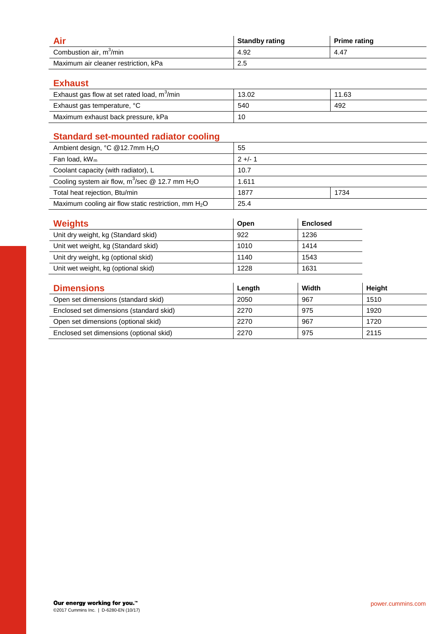|                                      | <b>Standby rating</b> | <b>Prime rating</b> |
|--------------------------------------|-----------------------|---------------------|
| Combustion air, m <sup>3</sup> /min  | 4.92                  | 4.47                |
| Maximum air cleaner restriction, kPa | 2.5                   |                     |

### **Exhaust**

| Exhaust gas flow at set rated load, m <sup>3</sup> /min | 13.02 | 11.63 |
|---------------------------------------------------------|-------|-------|
| Exhaust gas temperature, °C                             | 540   | 492   |
| Maximum exhaust back pressure, kPa                      | 10    |       |

## **Standard set-mounted radiator cooling**

| Ambient design, $°C$ @12.7mm $H2O$                             | 55        |      |
|----------------------------------------------------------------|-----------|------|
| Fan load, $kW_m$                                               | $2 +/- 1$ |      |
| Coolant capacity (with radiator), L                            | 10.7      |      |
| Cooling system air flow, $m^3$ /sec @ 12.7 mm H <sub>2</sub> O | 1.611     |      |
| Total heat rejection, Btu/min                                  | 1877      | 1734 |
| Maximum cooling air flow static restriction, mm $H_2O$         | 25.4      |      |

| <b>Weights</b>                          | Open   | <b>Enclosed</b> |        |
|-----------------------------------------|--------|-----------------|--------|
| Unit dry weight, kg (Standard skid)     | 922    | 1236            |        |
| Unit wet weight, kg (Standard skid)     | 1010   | 1414            |        |
| Unit dry weight, kg (optional skid)     | 1140   | 1543            |        |
| Unit wet weight, kg (optional skid)     | 1228   | 1631            |        |
|                                         |        |                 |        |
| <b>Dimensions</b>                       | Length | Width           | Height |
| Open set dimensions (standard skid)     | 2050   | 967             | 1510   |
| Enclosed set dimensions (standard skid) | 2270   | 975             | 1920   |
| Open set dimensions (optional skid)     | 2270   | 967             | 1720   |
| Enclosed set dimensions (optional skid) | 2270   | 975             | 2115   |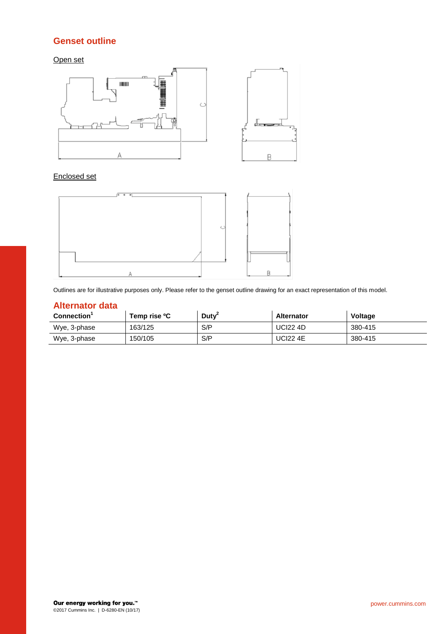### **Genset outline**

Open set



#### Enclosed set



Outlines are for illustrative purposes only. Please refer to the genset outline drawing for an exact representation of this model.

## **Alternator data**

| <b>Connection</b> | Temp rise <sup>o</sup> C | Duty <sup>-</sup> | <b>Alternator</b> | <b>Voltage</b> |
|-------------------|--------------------------|-------------------|-------------------|----------------|
| Wye, 3-phase      | 163/125                  | S/P               | <b>UCI22 4D</b>   | 380-415        |
| Wye, 3-phase      | 150/105                  | S/P               | <b>UCI22 4E</b>   | 380-415        |